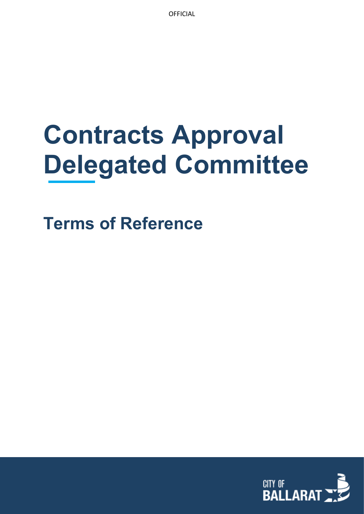# **Contracts Approval Delegated Committee**

**Terms of Reference**

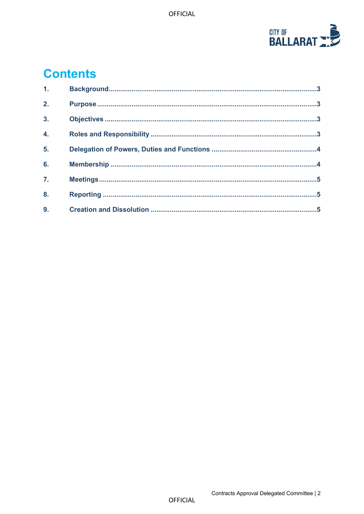

## **Contents**

| 1.               |  |
|------------------|--|
| 2.               |  |
| $\overline{3}$ . |  |
| 4.               |  |
| 5.               |  |
| 6.               |  |
| $\overline{7}$ . |  |
| 8.               |  |
| 9.               |  |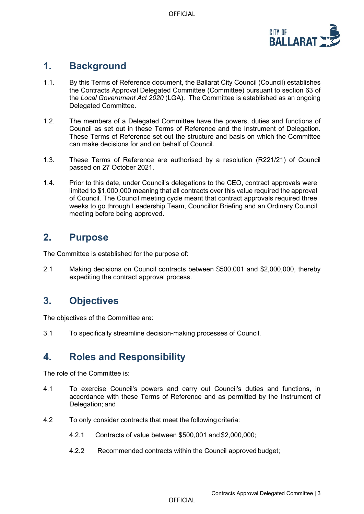

#### <span id="page-2-0"></span>**1. Background**

- 1.1. By this Terms of Reference document, the Ballarat City Council (Council) establishes the Contracts Approval Delegated Committee (Committee) pursuant to section 63 of the *Local Government Act 2020* (LGA). The Committee is established as an ongoing Delegated Committee.
- 1.2. The members of a Delegated Committee have the powers, duties and functions of Council as set out in these Terms of Reference and the Instrument of Delegation. These Terms of Reference set out the structure and basis on which the Committee can make decisions for and on behalf of Council.
- 1.3. These Terms of Reference are authorised by a resolution (R221/21) of Council passed on 27 October 2021.
- 1.4. Prior to this date, under Council's delegations to the CEO, contract approvals were limited to \$1,000,000 meaning that all contracts over this value required the approval of Council. The Council meeting cycle meant that contract approvals required three weeks to go through Leadership Team, Councillor Briefing and an Ordinary Council meeting before being approved.

#### <span id="page-2-1"></span>**2. Purpose**

The Committee is established for the purpose of:

2.1 Making decisions on Council contracts between \$500,001 and \$2,000,000, thereby expediting the contract approval process.

### <span id="page-2-2"></span>**3. Objectives**

The objectives of the Committee are:

3.1 To specifically streamline decision-making processes of Council.

### <span id="page-2-3"></span>**4. Roles and Responsibility**

The role of the Committee is:

- 4.1 To exercise Council's powers and carry out Council's duties and functions, in accordance with these Terms of Reference and as permitted by the Instrument of Delegation; and
- 4.2 To only consider contracts that meet the following criteria:
	- 4.2.1 Contracts of value between \$500,001 and \$2,000,000;
	- 4.2.2 Recommended contracts within the Council approved budget;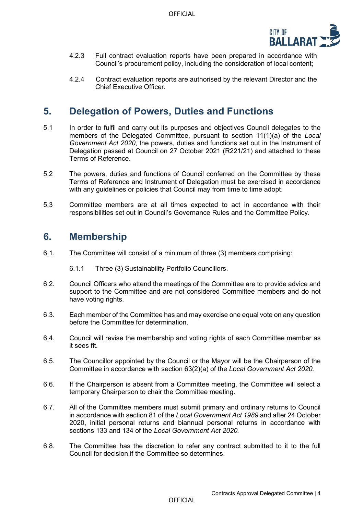

- 4.2.3 Full contract evaluation reports have been prepared in accordance with Council's procurement policy, including the consideration of local content;
- 4.2.4 Contract evaluation reports are authorised by the relevant Director and the Chief Executive Officer.

#### <span id="page-3-0"></span>**5. Delegation of Powers, Duties and Functions**

- 5.1 In order to fulfil and carry out its purposes and objectives Council delegates to the members of the Delegated Committee, pursuant to section 11(1)(a) of the *Local Government Act 2020*, the powers, duties and functions set out in the Instrument of Delegation passed at Council on 27 October 2021 (R221/21) and attached to these Terms of Reference.
- 5.2 The powers, duties and functions of Council conferred on the Committee by these Terms of Reference and Instrument of Delegation must be exercised in accordance with any guidelines or policies that Council may from time to time adopt.
- 5.3 Committee members are at all times expected to act in accordance with their responsibilities set out in Council's Governance Rules and the Committee Policy.

#### <span id="page-3-1"></span>**6. Membership**

6.1. The Committee will consist of a minimum of three (3) members comprising:

6.1.1 Three (3) Sustainability Portfolio Councillors.

- 6.2. Council Officers who attend the meetings of the Committee are to provide advice and support to the Committee and are not considered Committee members and do not have voting rights.
- 6.3. Each member of the Committee has and may exercise one equal vote on any question before the Committee for determination.
- 6.4. Council will revise the membership and voting rights of each Committee member as it sees fit.
- 6.5. The Councillor appointed by the Council or the Mayor will be the Chairperson of the Committee in accordance with section 63(2)(a) of the *Local Government Act 2020.*
- 6.6. If the Chairperson is absent from a Committee meeting, the Committee will select a temporary Chairperson to chair the Committee meeting.
- 6.7. All of the Committee members must submit primary and ordinary returns to Council in accordance with section 81 of the *Local Government Act 1989* and after 24 October 2020, initial personal returns and biannual personal returns in accordance with sections 133 and 134 of the *Local Government Act 2020.*
- 6.8. The Committee has the discretion to refer any contract submitted to it to the full Council for decision if the Committee so determines.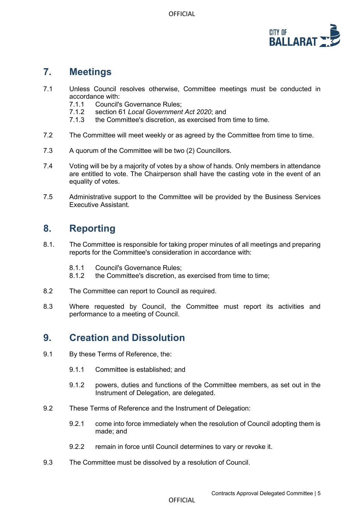

### <span id="page-4-0"></span>**7. Meetings**

- 7.1 Unless Council resolves otherwise, Committee meetings must be conducted in accordance with:<br>7.1.1 Council's
	- Council's Governance Rules:
	- 7.1.2 section 61 *Local Government Act 2020*; and
	- 7.1.3 the Committee's discretion, as exercised from time to time.
- 7.2 The Committee will meet weekly or as agreed by the Committee from time to time.
- 7.3 A quorum of the Committee will be two (2) Councillors.
- 7.4 Voting will be by a majority of votes by a show of hands. Only members in attendance are entitled to vote. The Chairperson shall have the casting vote in the event of an equality of votes.
- 7.5 Administrative support to the Committee will be provided by the Business Services Executive Assistant.

### <span id="page-4-1"></span>**8. Reporting**

- 8.1. The Committee is responsible for taking proper minutes of all meetings and preparing reports for the Committee's consideration in accordance with:
	- 8.1.1 Council's Governance Rules;<br>8.1.2 the Committee's discretion. a
	- the Committee's discretion, as exercised from time to time;
- 8.2 The Committee can report to Council as required.
- 8.3 Where requested by Council, the Committee must report its activities and performance to a meeting of Council.

#### <span id="page-4-2"></span>**9. Creation and Dissolution**

- 9.1 By these Terms of Reference, the:
	- 9.1.1 Committee is established; and
	- 9.1.2 powers, duties and functions of the Committee members, as set out in the Instrument of Delegation, are delegated.
- 9.2 These Terms of Reference and the Instrument of Delegation:
	- 9.2.1 come into force immediately when the resolution of Council adopting them is made; and
	- 9.2.2 remain in force until Council determines to vary or revoke it.
- 9.3 The Committee must be dissolved by a resolution of Council.